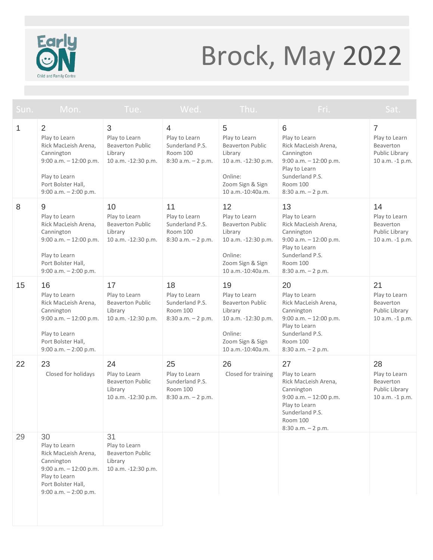

## Brock, May 2022

| Sun.         | Mon.                                                                                                                                                             | Tue.                                                                             | Wed.                                                                        | Thu.                                                                                                                                 | Fri.                                                                                                                                                            | Sat.                                                                              |
|--------------|------------------------------------------------------------------------------------------------------------------------------------------------------------------|----------------------------------------------------------------------------------|-----------------------------------------------------------------------------|--------------------------------------------------------------------------------------------------------------------------------------|-----------------------------------------------------------------------------------------------------------------------------------------------------------------|-----------------------------------------------------------------------------------|
| $\mathbf{1}$ | $\overline{2}$<br>Play to Learn<br>Rick MacLeish Arena.<br>Cannington<br>9:00 a.m. $-12:00$ p.m.<br>Play to Learn<br>Port Bolster Hall,<br>9:00 a.m. - 2:00 p.m. | 3<br>Play to Learn<br><b>Beaverton Public</b><br>Library<br>10 a.m. -12:30 p.m.  | 4<br>Play to Learn<br>Sunderland P.S.<br>Room 100<br>$8:30$ a.m. $-2$ p.m.  | 5<br>Play to Learn<br><b>Beaverton Public</b><br>Library<br>10 a.m. -12:30 p.m.<br>Online:<br>Zoom Sign & Sign<br>10 a.m.-10:40a.m.  | 6<br>Play to Learn<br>Rick MacLeish Arena,<br>Cannington<br>$9:00$ a.m. $-12:00$ p.m.<br>Play to Learn<br>Sunderland P.S.<br>Room 100<br>$8:30$ a.m. $-2$ p.m.  | $\overline{7}$<br>Play to Learn<br>Beaverton<br>Public Library<br>10 a.m. -1 p.m. |
| 8            | 9<br>Play to Learn<br>Rick MacLeish Arena,<br>Cannington<br>9:00 a.m. $-12:00$ p.m.<br>Play to Learn<br>Port Bolster Hall,<br>$9:00$ a.m. $-2:00$ p.m.           | 10<br>Play to Learn<br><b>Beaverton Public</b><br>Library<br>10 a.m. -12:30 p.m. | 11<br>Play to Learn<br>Sunderland P.S.<br>Room 100<br>8:30 a.m. - 2 p.m.    | 12<br>Play to Learn<br><b>Beaverton Public</b><br>Library<br>10 a.m. -12:30 p.m.<br>Online:<br>Zoom Sign & Sign<br>10 a.m.-10:40a.m. | 13<br>Play to Learn<br>Rick MacLeish Arena,<br>Cannington<br>$9:00$ a.m. $-12:00$ p.m.<br>Play to Learn<br>Sunderland P.S.<br>Room 100<br>8:30 a.m. - 2 p.m.    | 14<br>Play to Learn<br>Beaverton<br>Public Library<br>10 a.m. -1 p.m.             |
| 15           | 16<br>Play to Learn<br>Rick MacLeish Arena,<br>Cannington<br>$9:00$ a.m. $-12:00$ p.m.<br>Play to Learn<br>Port Bolster Hall,<br>9:00 a.m. - 2:00 p.m.           | 17<br>Play to Learn<br><b>Beaverton Public</b><br>Library<br>10 a.m. -12:30 p.m. | 18<br>Play to Learn<br>Sunderland P.S.<br>Room 100<br>$8:30$ a.m. $-2$ p.m. | 19<br>Play to Learn<br><b>Beaverton Public</b><br>Library<br>10 a.m. -12:30 p.m.<br>Online:<br>Zoom Sign & Sign<br>10 a.m.-10:40a.m. | 20<br>Play to Learn<br>Rick MacLeish Arena,<br>Cannington<br>9:00 a.m. - 12:00 p.m.<br>Play to Learn<br>Sunderland P.S.<br>Room 100<br>$8:30$ a.m. $-2$ p.m.    | 21<br>Play to Learn<br><b>Beaverton</b><br>Public Library<br>10 a.m. -1 p.m.      |
| 22           | 23<br>Closed for holidays                                                                                                                                        | 24<br>Play to Learn<br><b>Beaverton Public</b><br>Library<br>10 a.m. -12:30 p.m. | 25<br>Play to Learn<br>Sunderland P.S.<br>Room 100<br>8:30 a.m. - 2 p.m.    | 26<br>Closed for training                                                                                                            | 27<br>Play to Learn<br>Rick MacLeish Arena,<br>Cannington<br>$9:00$ a.m. $-12:00$ p.m.<br>Play to Learn<br>Sunderland P.S.<br>Room 100<br>$8:30$ a.m. $-2$ p.m. | 28<br>Play to Learn<br>Beaverton<br>Public Library<br>10 a.m. -1 p.m.             |
| 29           | 30<br>Play to Learn<br>Rick MacLeish Arena,<br>Cannington<br>9:00 a.m. $-12:00$ p.m.<br>Play to Learn<br>Port Bolster Hall,<br>$9:00$ a.m. $-2:00$ p.m.          | 31<br>Play to Learn<br><b>Beaverton Public</b><br>Library<br>10 a.m. -12:30 p.m. |                                                                             |                                                                                                                                      |                                                                                                                                                                 |                                                                                   |